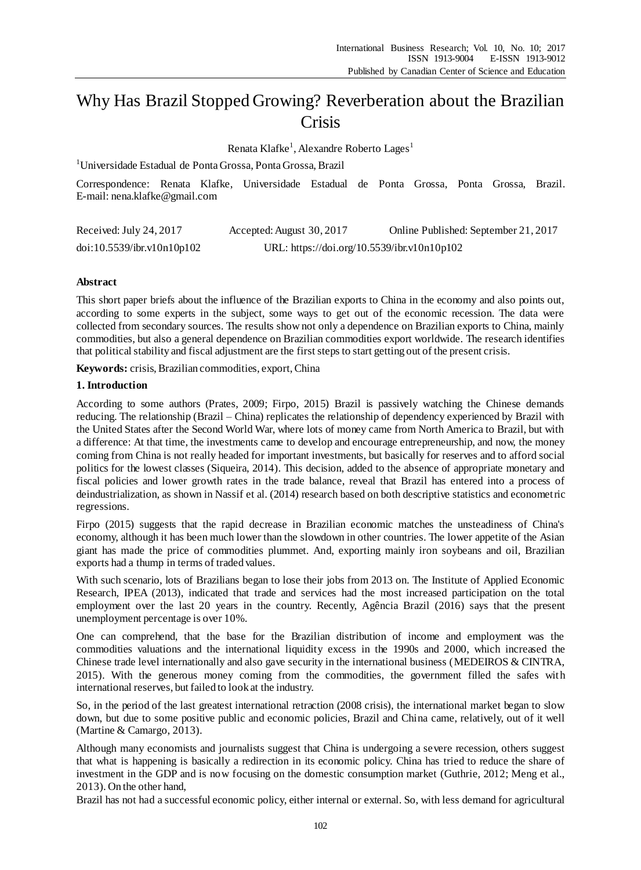# Why Has Brazil Stopped Growing? Reverberation about the Brazilian **Crisis**

Renata Klafke<sup>1</sup>, Alexandre Roberto Lages<sup>1</sup>

<sup>1</sup>Universidade Estadual de Ponta Grossa, Ponta Grossa, Brazil

Correspondence: Renata Klafke, Universidade Estadual de Ponta Grossa, Ponta Grossa, Brazil. E-mail: nena.klafke@gmail.com

| Received: July 24, 2017    | Accepted: August 30, 2017                   | Online Published: September 21, 2017 |
|----------------------------|---------------------------------------------|--------------------------------------|
| doi:10.5539/ibr.v10n10p102 | URL: https://doi.org/10.5539/ibr.v10n10p102 |                                      |

# **Abstract**

This short paper briefs about the influence of the Brazilian exports to China in the economy and also points out, according to some experts in the subject, some ways to get out of the economic recession. The data were collected from secondary sources. The results show not only a dependence on Brazilian exports to China, mainly commodities, but also a general dependence on Brazilian commodities export worldwide. The research identifies that political stability and fiscal adjustment are the first steps to start getting out of the present crisis.

**Keywords:** crisis, Brazilian commodities, export, China

### **1. Introduction**

According to some authors (Prates, 2009; Firpo, 2015) Brazil is passively watching the Chinese demands reducing. The relationship (Brazil – China) replicates the relationship of dependency experienced by Brazil with the United States after the Second World War, where lots of money came from North America to Brazil, but with a difference: At that time, the investments came to develop and encourage entrepreneurship, and now, the money coming from China is not really headed for important investments, but basically for reserves and to afford social politics for the lowest classes (Siqueira, 2014). This decision, added to the absence of appropriate monetary and fiscal policies and lower growth rates in the trade balance, reveal that Brazil has entered into a process of deindustrialization, as shown in Nassif et al. (2014) research based on both descriptive statistics and econometric regressions.

Firpo (2015) suggests that the rapid decrease in Brazilian economic matches the unsteadiness of China's economy, although it has been much lower than the slowdown in other countries. The lower appetite of the Asian giant has made the price of commodities plummet. And, exporting mainly iron soybeans and oil, Brazilian exports had a thump in terms of traded values.

With such scenario, lots of Brazilians began to lose their jobs from 2013 on. The Institute of Applied Economic Research, IPEA (2013), indicated that trade and services had the most increased participation on the total employment over the last 20 years in the country. Recently, Agência Brazil (2016) says that the present unemployment percentage is over 10%.

One can comprehend, that the base for the Brazilian distribution of income and employment was the commodities valuations and the international liquidity excess in the 1990s and 2000, which increased the Chinese trade level internationally and also gave security in the international business (MEDEIROS & CINTRA, 2015). With the generous money coming from the commodities, the government filled the safes with international reserves, but failed to look at the industry.

So, in the period of the last greatest international retraction (2008 crisis), the international market began to slow down, but due to some positive public and economic policies, Brazil and China came, relatively, out of it well (Martine & Camargo, 2013).

Although many economists and journalists suggest that China is undergoing a severe recession, others suggest that what is happening is basically a redirection in its economic policy. China has tried to reduce the share of investment in the GDP and is now focusing on the domestic consumption market (Guthrie, 2012; Meng et al., 2013). On the other hand,

Brazil has not had a successful economic policy, either internal or external. So, with less demand for agricultural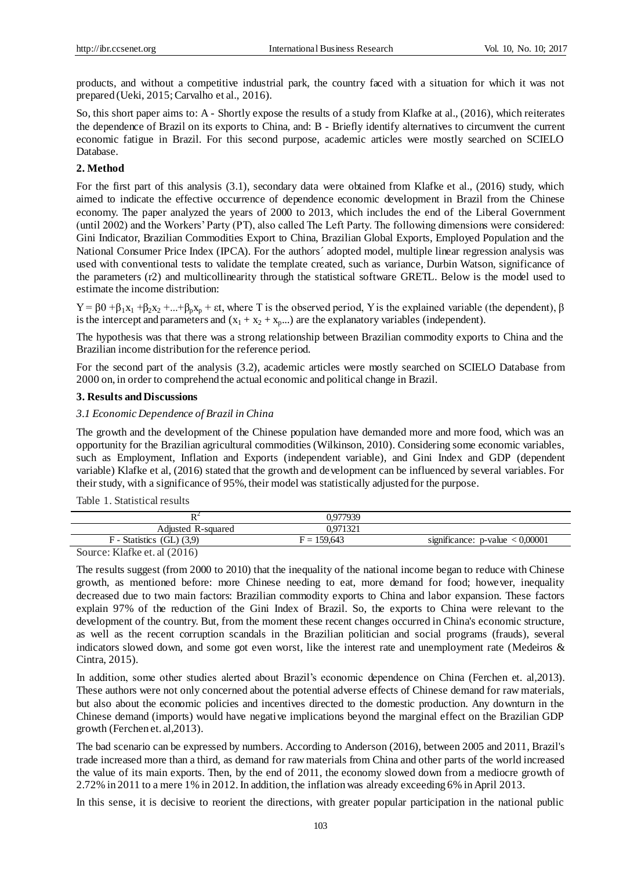products, and without a competitive industrial park, the country faced with a situation for which it was not prepared (Ueki, 2015; Carvalho et al., 2016).

So, this short paper aims to: A - Shortly expose the results of a study from Klafke at al., (2016), which reiterates the dependence of Brazil on its exports to China, and: B - Briefly identify alternatives to circumvent the current economic fatigue in Brazil. For this second purpose, academic articles were mostly searched on SCIELO Database.

#### **2. Method**

For the first part of this analysis (3.1), secondary data were obtained from Klafke et al., (2016) study, which aimed to indicate the effective occurrence of dependence economic development in Brazil from the Chinese economy. The paper analyzed the years of 2000 to 2013, which includes the end of the Liberal Government (until 2002) and the Workers' Party (PT), also called The Left Party. The following dimensions were considered: Gini Indicator, Brazilian Commodities Export to China, Brazilian Global Exports, Employed Population and the National Consumer Price Index (IPCA). For the authors´ adopted model, multiple linear regression analysis was used with conventional tests to validate the template created, such as variance, Durbin Watson, significance of the parameters (r2) and multicollinearity through the statistical software GRETL. Below is the model used to estimate the income distribution:

 $Y = \beta 0 + \beta_1 x_1 + \beta_2 x_2 + ... + \beta_p x_p + \varepsilon t$ , where T is the observed period, Y is the explained variable (the dependent), β is the intercept and parameters and  $(x_1 + x_2 + x_p...)$  are the explanatory variables (independent).

The hypothesis was that there was a strong relationship between Brazilian commodity exports to China and the Brazilian income distribution for the reference period.

For the second part of the analysis (3.2), academic articles were mostly searched on SCIELO Database from 2000 on, in order to comprehend the actual economic and political change in Brazil.

# **3. Results and Discussions**

#### *3.1 Economic Dependence of Brazil in China*

The growth and the development of the Chinese population have demanded more and more food, which was an opportunity for the Brazilian agricultural commodities (Wilkinson, 2010). Considering some economic variables, such as Employment, Inflation and Exports (independent variable), and Gini Index and GDP (dependent variable) Klafke et al, (2016) stated that the growth and development can be influenced by several variables. For their study, with a significance of 95%, their model was statistically adjusted for the purpose.

Table 1. Statistical results

|                              | 0.977939      |                                        |
|------------------------------|---------------|----------------------------------------|
| Adjusted R-squared           | 0.971321      |                                        |
| $F - Statistics (GL) (3.9)$  | $F = 159,643$ | significance: $p$ -value $\lt 0,00001$ |
| Source: Klafke et. al (2016) |               |                                        |

The results suggest (from 2000 to 2010) that the inequality of the national income began to reduce with Chinese growth, as mentioned before: more Chinese needing to eat, more demand for food; however, inequality decreased due to two main factors: Brazilian commodity exports to China and labor expansion. These factors explain 97% of the reduction of the Gini Index of Brazil. So, the exports to China were relevant to the development of the country. But, from the moment these recent changes occurred in China's economic structure, as well as the recent corruption scandals in the Brazilian politician and social programs (frauds), several indicators slowed down, and some got even worst, like the interest rate and unemployment rate (Medeiros & Cintra, 2015).

In addition, some other studies alerted about Brazil's economic dependence on China (Ferchen et. al,2013). These authors were not only concerned about the potential adverse effects of Chinese demand for raw materials, but also about the economic policies and incentives directed to the domestic production. Any downturn in the Chinese demand (imports) would have negative implications beyond the marginal effect on the Brazilian GDP growth (Ferchen et. al,2013).

The bad scenario can be expressed by numbers. According to Anderson (2016), between 2005 and 2011, Brazil's trade increased more than a third, as demand for raw materials from China and other parts of the world increased the value of its main exports. Then, by the end of 2011, the economy slowed down from a mediocre growth of 2.72% in 2011 to a mere 1% in 2012. In addition, the inflation was already exceeding 6% in April 2013.

In this sense, it is decisive to reorient the directions, with greater popular participation in the national public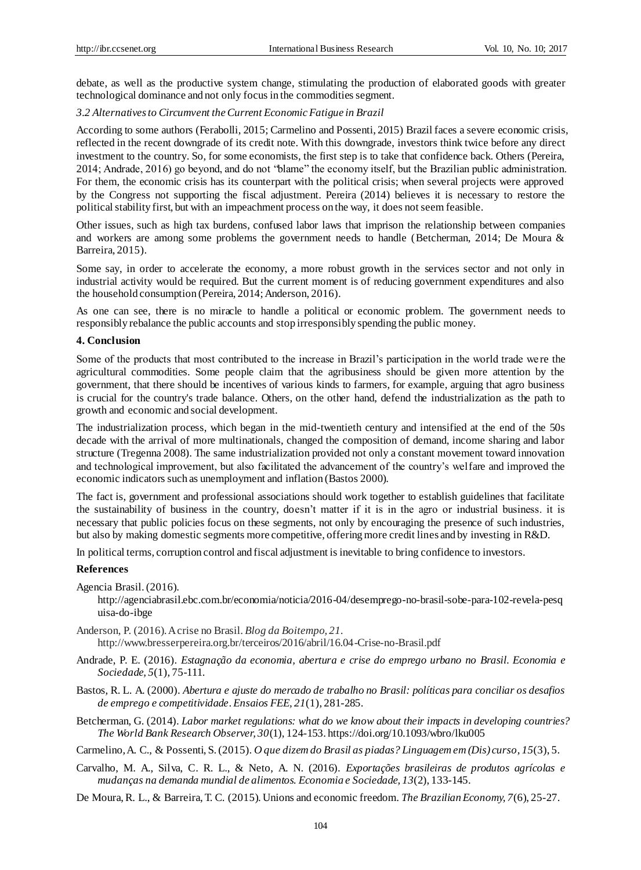debate, as well as the productive system change, stimulating the production of elaborated goods with greater technological dominance and not only focus in the commodities segment.

#### *3.2 Alternatives to Circumvent the Current Economic Fatigue in Brazil*

According to some authors (Ferabolli, 2015; Carmelino and Possenti, 2015) Brazil faces a severe economic crisis, reflected in the recent downgrade of its credit note. With this downgrade, investors think twice before any direct investment to the country. So, for some economists, the first step is to take that confidence back. Others (Pereira, 2014; Andrade, 2016) go beyond, and do not "blame" the economy itself, but the Brazilian public administration. For them, the economic crisis has its counterpart with the political crisis; when several projects were approved by the Congress not supporting the fiscal adjustment. Pereira (2014) believes it is necessary to restore the political stability first, but with an impeachment process on the way, it does not seem feasible.

Other issues, such as high tax burdens, confused labor laws that imprison the relationship between companies and workers are among some problems the government needs to handle (Betcherman, 2014; De Moura & Barreira, 2015).

Some say, in order to accelerate the economy, a more robust growth in the services sector and not only in industrial activity would be required. But the current moment is of reducing government expenditures and also the household consumption (Pereira, 2014; Anderson, 2016).

As one can see, there is no miracle to handle a political or economic problem. The government needs to responsibly rebalance the public accounts and stop irresponsibly spending the public money.

#### **4. Conclusion**

Some of the products that most contributed to the increase in Brazil's participation in the world trade we re the agricultural commodities. Some people claim that the agribusiness should be given more attention by the government, that there should be incentives of various kinds to farmers, for example, arguing that agro business is crucial for the country's trade balance. Others, on the other hand, defend the industrialization as the path to growth and economic and social development.

The industrialization process, which began in the mid-twentieth century and intensified at the end of the 50s decade with the arrival of more multinationals, changed the composition of demand, income sharing and labor structure (Tregenna 2008). The same industrialization provided not only a constant movement toward innovation and technological improvement, but also facilitated the advancement of the country's welfare and improved the economic indicators such as unemployment and inflation (Bastos 2000).

The fact is, government and professional associations should work together to establish guidelines that facilitate the sustainability of business in the country, doesn't matter if it is in the agro or industrial business. it is necessary that public policies focus on these segments, not only by encouraging the presence of such industries, but also by making domestic segments more competitive, offering more credit lines and by investing in R&D.

In political terms, corruption control and fiscal adjustment is inevitable to bring confidence to investors.

#### **References**

Agencia Brasil.(2016).

http://agenciabrasil.ebc.com.br/economia/noticia/2016-04/desemprego-no-brasil-sobe-para-102-revela-pesq uisa-do-ibge

- Anderson, P. (2016). A crise no Brasil. *Blog da Boitempo, 21.* http://www.bresserpereira.org.br/terceiros/2016/abril/16.04-Crise-no-Brasil.pdf
- Andrade, P. E. (2016). *Estagnação da economia, abertura e crise do emprego urbano no Brasil. Economia e Sociedade, 5*(1), 75-111.
- Bastos, R. L. A. (2000). *Abertura e ajuste do mercado de trabalho no Brasil: políticas para conciliar os desafios de emprego e competitividade*. *Ensaios FEE, 21*(1), 281-285.
- Betcherman, G. (2014). *Labor market regulations: what do we know about their impacts in developing countries? The World Bank Research Observer, 30*(1), 124-153. https://doi.org/10.1093/wbro/lku005

Carmelino, A. C., & Possenti, S. (2015). *O que dizem do Brasil as piadas? Linguagem em (Dis) curso, 15*(3), 5.

- Carvalho, M. A., Silva, C. R. L., & Neto, A. N. (2016). *Exportações brasileiras de produtos agrícolas e mudanças na demanda mundial de alimentos. Economia e Sociedade, 13*(2), 133-145.
- De Moura, R. L., & Barreira, T. C. (2015). Unions and economic freedom. *The Brazilian Economy, 7*(6), 25-27.